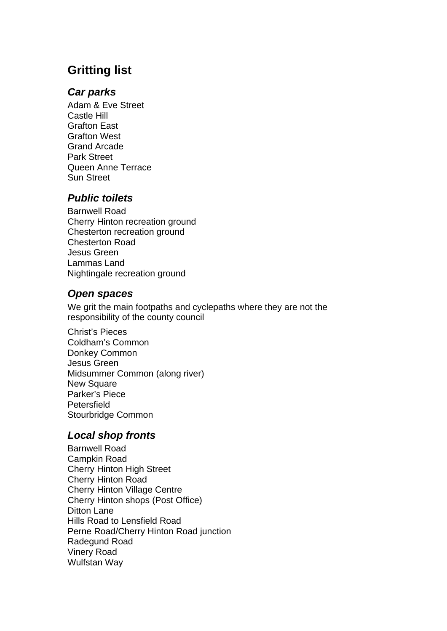# **Gritting list**

### *Car parks*

Adam & Eve Street Castle Hill Grafton East Grafton West Grand Arcade Park Street Queen Anne Terrace Sun Street

## *Public toilets*

Barnwell Road Cherry Hinton recreation ground Chesterton recreation ground Chesterton Road Jesus Green Lammas Land Nightingale recreation ground

### *Open spaces*

We grit the main footpaths and cyclepaths where they are not the responsibility of the county council

Christ's Pieces Coldham's Common Donkey Common Jesus Green Midsummer Common (along river) New Square Parker's Piece **Petersfield** Stourbridge Common

# *Local shop fronts*

Barnwell Road Campkin Road Cherry Hinton High Street Cherry Hinton Road Cherry Hinton Village Centre Cherry Hinton shops (Post Office) Ditton Lane Hills Road to Lensfield Road Perne Road/Cherry Hinton Road junction Radegund Road Vinery Road Wulfstan Way